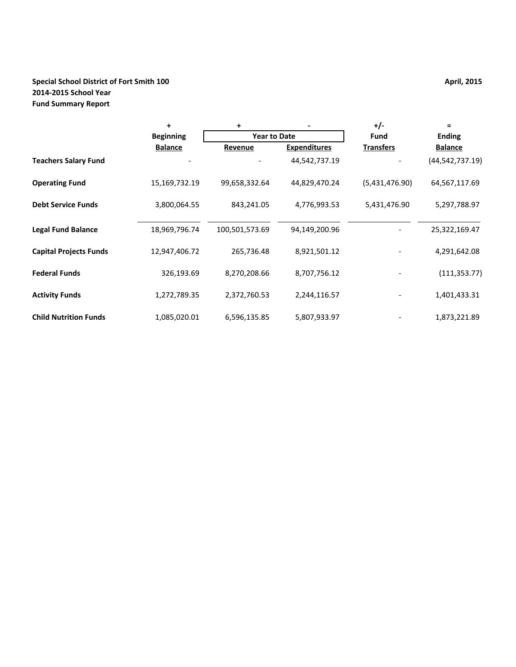## **Special School District of Fort Smith 100 April, 2015 April, 2015 2014-2015 School Year Fund Summary Report**

|                               | $\ddot{}$        | +                   |                     | $+/-$            | $=$             |
|-------------------------------|------------------|---------------------|---------------------|------------------|-----------------|
|                               | <b>Beginning</b> | <b>Year to Date</b> |                     | <b>Fund</b>      | <b>Ending</b>   |
|                               | <b>Balance</b>   | Revenue             | <b>Expenditures</b> | <b>Transfers</b> | <b>Balance</b>  |
| <b>Teachers Salary Fund</b>   |                  |                     | 44,542,737.19       |                  | (44,542,737.19) |
| <b>Operating Fund</b>         | 15,169,732.19    | 99,658,332.64       | 44,829,470.24       | (5,431,476.90)   | 64,567,117.69   |
| <b>Debt Service Funds</b>     | 3,800,064.55     | 843,241.05          | 4,776,993.53        | 5,431,476.90     | 5,297,788.97    |
| <b>Legal Fund Balance</b>     | 18,969,796.74    | 100,501,573.69      | 94,149,200.96       |                  | 25,322,169.47   |
| <b>Capital Projects Funds</b> | 12,947,406.72    | 265,736.48          | 8,921,501.12        |                  | 4,291,642.08    |
| <b>Federal Funds</b>          | 326,193.69       | 8,270,208.66        | 8,707,756.12        |                  | (111, 353.77)   |
| <b>Activity Funds</b>         | 1,272,789.35     | 2,372,760.53        | 2,244,116.57        |                  | 1,401,433.31    |
| <b>Child Nutrition Funds</b>  | 1,085,020.01     | 6,596,135.85        | 5,807,933.97        |                  | 1,873,221.89    |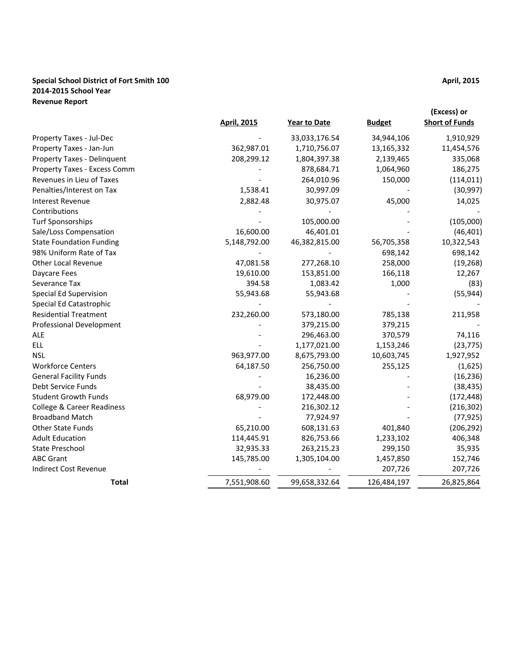### **Special School District of Fort Smith 100 April, 2015 2014-2015 School Year Revenue Report**

|                                       | <b>April, 2015</b> | <b>Year to Date</b> | <b>Budget</b> | (Excess) or<br><b>Short of Funds</b> |
|---------------------------------------|--------------------|---------------------|---------------|--------------------------------------|
| Property Taxes - Jul-Dec              |                    | 33,033,176.54       | 34,944,106    | 1,910,929                            |
| Property Taxes - Jan-Jun              | 362,987.01         | 1,710,756.07        | 13,165,332    | 11,454,576                           |
| Property Taxes - Delinquent           | 208,299.12         | 1,804,397.38        | 2,139,465     | 335,068                              |
| Property Taxes - Excess Comm          |                    | 878,684.71          | 1,064,960     | 186,275                              |
| Revenues in Lieu of Taxes             |                    | 264,010.96          | 150,000       | (114, 011)                           |
| Penalties/Interest on Tax             | 1,538.41           | 30,997.09           |               | (30, 997)                            |
| <b>Interest Revenue</b>               | 2,882.48           | 30,975.07           | 45,000        | 14,025                               |
| Contributions                         |                    |                     |               |                                      |
| <b>Turf Sponsorships</b>              |                    | 105,000.00          |               | (105,000)                            |
| Sale/Loss Compensation                | 16,600.00          | 46,401.01           |               | (46, 401)                            |
| <b>State Foundation Funding</b>       | 5,148,792.00       | 46,382,815.00       | 56,705,358    | 10,322,543                           |
| 98% Uniform Rate of Tax               |                    |                     | 698,142       | 698,142                              |
| <b>Other Local Revenue</b>            | 47,081.58          | 277,268.10          | 258,000       | (19, 268)                            |
| Daycare Fees                          | 19,610.00          | 153,851.00          | 166,118       | 12,267                               |
| Severance Tax                         | 394.58             | 1,083.42            | 1,000         | (83)                                 |
| Special Ed Supervision                | 55,943.68          | 55,943.68           |               | (55, 944)                            |
| Special Ed Catastrophic               |                    |                     |               |                                      |
| <b>Residential Treatment</b>          | 232,260.00         | 573,180.00          | 785,138       | 211,958                              |
| Professional Development              |                    | 379,215.00          | 379,215       |                                      |
| <b>ALE</b>                            |                    | 296,463.00          | 370,579       | 74,116                               |
| <b>ELL</b>                            |                    | 1,177,021.00        | 1,153,246     | (23, 775)                            |
| <b>NSL</b>                            | 963,977.00         | 8,675,793.00        | 10,603,745    | 1,927,952                            |
| <b>Workforce Centers</b>              | 64,187.50          | 256,750.00          | 255,125       | (1,625)                              |
| <b>General Facility Funds</b>         |                    | 16,236.00           |               | (16, 236)                            |
| Debt Service Funds                    |                    | 38,435.00           |               | (38, 435)                            |
| <b>Student Growth Funds</b>           | 68,979.00          | 172,448.00          |               | (172, 448)                           |
| <b>College &amp; Career Readiness</b> |                    | 216,302.12          |               | (216, 302)                           |
| <b>Broadband Match</b>                |                    | 77,924.97           |               | (77, 925)                            |
| <b>Other State Funds</b>              | 65,210.00          | 608,131.63          | 401,840       | (206, 292)                           |
| <b>Adult Education</b>                | 114,445.91         | 826,753.66          | 1,233,102     | 406,348                              |
| State Preschool                       | 32,935.33          | 263,215.23          | 299,150       | 35,935                               |
| <b>ABC Grant</b>                      | 145,785.00         | 1,305,104.00        | 1,457,850     | 152,746                              |
| <b>Indirect Cost Revenue</b>          |                    |                     | 207,726       | 207,726                              |
| <b>Total</b>                          | 7,551,908.60       | 99,658,332.64       | 126,484,197   | 26,825,864                           |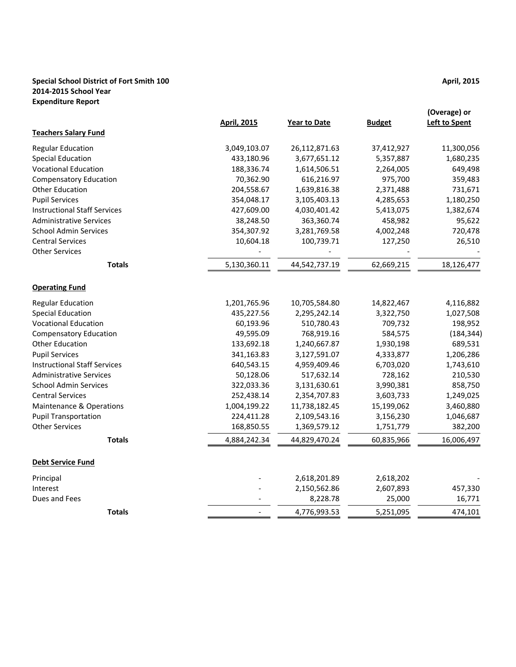### **Special School District of Fort Smith 100 April, 2015 2014-2015 School Year Expenditure Report**

|                                     | <b>April, 2015</b> | <b>Year to Date</b> | <b>Budget</b> | (Overage) or<br><b>Left to Spent</b> |
|-------------------------------------|--------------------|---------------------|---------------|--------------------------------------|
| <b>Teachers Salary Fund</b>         |                    |                     |               |                                      |
| <b>Regular Education</b>            | 3,049,103.07       | 26,112,871.63       | 37,412,927    | 11,300,056                           |
| <b>Special Education</b>            | 433,180.96         | 3,677,651.12        | 5,357,887     | 1,680,235                            |
| <b>Vocational Education</b>         | 188,336.74         | 1,614,506.51        | 2,264,005     | 649,498                              |
| <b>Compensatory Education</b>       | 70,362.90          | 616,216.97          | 975,700       | 359,483                              |
| <b>Other Education</b>              | 204,558.67         | 1,639,816.38        | 2,371,488     | 731,671                              |
| <b>Pupil Services</b>               | 354,048.17         | 3,105,403.13        | 4,285,653     | 1,180,250                            |
| <b>Instructional Staff Services</b> | 427,609.00         | 4,030,401.42        | 5,413,075     | 1,382,674                            |
| <b>Administrative Services</b>      | 38,248.50          | 363,360.74          | 458,982       | 95,622                               |
| <b>School Admin Services</b>        | 354,307.92         | 3,281,769.58        | 4,002,248     | 720,478                              |
| <b>Central Services</b>             | 10,604.18          | 100,739.71          | 127,250       | 26,510                               |
| <b>Other Services</b>               |                    |                     |               |                                      |
| <b>Totals</b>                       | 5,130,360.11       | 44,542,737.19       | 62,669,215    | 18,126,477                           |
| <b>Operating Fund</b>               |                    |                     |               |                                      |
| <b>Regular Education</b>            | 1,201,765.96       | 10,705,584.80       | 14,822,467    | 4,116,882                            |
| <b>Special Education</b>            | 435,227.56         | 2,295,242.14        | 3,322,750     | 1,027,508                            |
| <b>Vocational Education</b>         | 60,193.96          | 510,780.43          | 709,732       | 198,952                              |
| <b>Compensatory Education</b>       | 49,595.09          | 768,919.16          | 584,575       | (184, 344)                           |
| <b>Other Education</b>              | 133,692.18         | 1,240,667.87        | 1,930,198     | 689,531                              |
| <b>Pupil Services</b>               | 341,163.83         | 3,127,591.07        | 4,333,877     | 1,206,286                            |
| <b>Instructional Staff Services</b> | 640,543.15         | 4,959,409.46        | 6,703,020     | 1,743,610                            |
| <b>Administrative Services</b>      | 50,128.06          | 517,632.14          | 728,162       | 210,530                              |
| <b>School Admin Services</b>        | 322,033.36         | 3,131,630.61        | 3,990,381     | 858,750                              |
| <b>Central Services</b>             | 252,438.14         | 2,354,707.83        | 3,603,733     | 1,249,025                            |
| Maintenance & Operations            | 1,004,199.22       | 11,738,182.45       | 15,199,062    | 3,460,880                            |
| <b>Pupil Transportation</b>         | 224,411.28         | 2,109,543.16        | 3,156,230     | 1,046,687                            |
| <b>Other Services</b>               | 168,850.55         | 1,369,579.12        | 1,751,779     | 382,200                              |
| <b>Totals</b>                       | 4,884,242.34       | 44,829,470.24       | 60,835,966    | 16,006,497                           |
| <b>Debt Service Fund</b>            |                    |                     |               |                                      |
| Principal                           |                    | 2,618,201.89        | 2,618,202     |                                      |
| Interest                            |                    | 2,150,562.86        | 2,607,893     | 457,330                              |
| Dues and Fees                       |                    | 8,228.78            | 25,000        | 16,771                               |
| <b>Totals</b>                       |                    | 4,776,993.53        | 5,251,095     | 474,101                              |